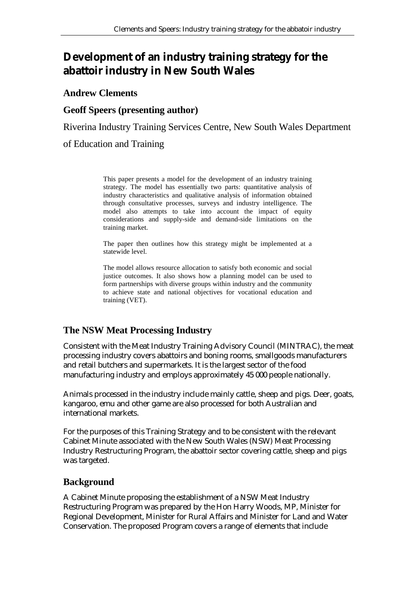# **Development of an industry training strategy for the abattoir industry in New South Wales**

#### **Andrew Clements**

#### **Geoff Speers (presenting author)**

Riverina Industry Training Services Centre, New South Wales Department

of Education and Training

This paper presents a model for the development of an industry training strategy. The model has essentially two parts: quantitative analysis of industry characteristics and qualitative analysis of information obtained through consultative processes, surveys and industry intelligence. The model also attempts to take into account the impact of equity considerations and supply-side and demand-side limitations on the training market.

The paper then outlines how this strategy might be implemented at a statewide level.

The model allows resource allocation to satisfy both economic and social justice outcomes. It also shows how a planning model can be used to form partnerships with diverse groups within industry and the community to achieve state and national objectives for vocational education and training (VET).

#### **The NSW Meat Processing Industry**

Consistent with the Meat Industry Training Advisory Council (MINTRAC), the meat processing industry covers abattoirs and boning rooms, smallgoods manufacturers and retail butchers and supermarkets. It is the largest sector of the food manufacturing industry and employs approximately 45 000 people nationally.

Animals processed in the industry include mainly cattle, sheep and pigs. Deer, goats, kangaroo, emu and other game are also processed for both Australian and international markets.

For the purposes of this Training Strategy and to be consistent with the relevant Cabinet Minute associated with the New South Wales (NSW) Meat Processing Industry Restructuring Program, the abattoir sector covering cattle, sheep and pigs was targeted.

#### **Background**

A Cabinet Minute proposing the establishment of a NSW Meat Industry Restructuring Program was prepared by the Hon Harry Woods, MP, Minister for Regional Development, Minister for Rural Affairs and Minister for Land and Water Conservation. The proposed Program covers a range of elements that include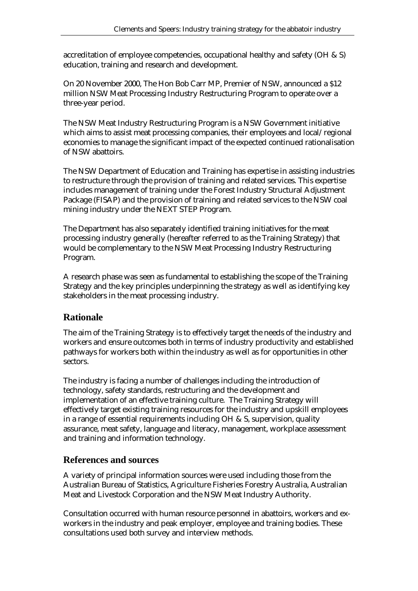accreditation of employee competencies, occupational healthy and safety (OH & S) education, training and research and development.

On 20 November 2000, The Hon Bob Carr MP, Premier of NSW, announced a \$12 million NSW Meat Processing Industry Restructuring Program to operate over a three-year period.

The NSW Meat Industry Restructuring Program is a NSW Government initiative which aims to assist meat processing companies, their employees and local/regional economies to manage the significant impact of the expected continued rationalisation of NSW abattoirs.

The NSW Department of Education and Training has expertise in assisting industries to restructure through the provision of training and related services. This expertise includes management of training under the Forest Industry Structural Adjustment Package (FISAP) and the provision of training and related services to the NSW coal mining industry under the NEXT STEP Program.

The Department has also separately identified training initiatives for the meat processing industry generally (hereafter referred to as the Training Strategy) that would be complementary to the NSW Meat Processing Industry Restructuring Program.

A research phase was seen as fundamental to establishing the scope of the Training Strategy and the key principles underpinning the strategy as well as identifying key stakeholders in the meat processing industry.

## **Rationale**

The aim of the Training Strategy is to effectively target the needs of the industry and workers and ensure outcomes both in terms of industry productivity and established pathways for workers both within the industry as well as for opportunities in other sectors.

The industry is facing a number of challenges including the introduction of technology, safety standards, restructuring and the development and implementation of an effective training culture. The Training Strategy will effectively target existing training resources for the industry and upskill employees in a range of essential requirements including OH & S, supervision, quality assurance, meat safety, language and literacy, management, workplace assessment and training and information technology.

#### **References and sources**

A variety of principal information sources were used including those from the Australian Bureau of Statistics, Agriculture Fisheries Forestry Australia, Australian Meat and Livestock Corporation and the NSW Meat Industry Authority.

Consultation occurred with human resource personnel in abattoirs, workers and exworkers in the industry and peak employer, employee and training bodies. These consultations used both survey and interview methods.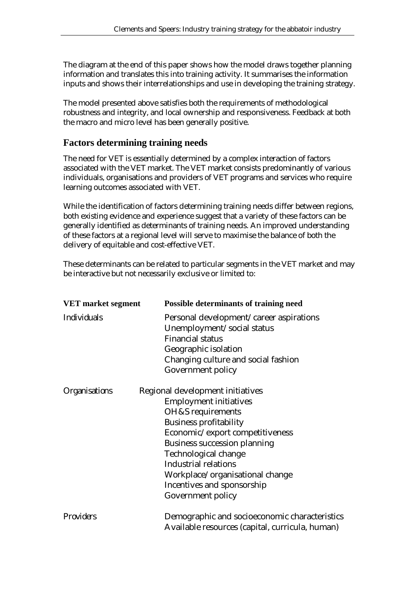The diagram at the end of this paper shows how the model draws together planning information and translates this into training activity. It summarises the information inputs and shows their interrelationships and use in developing the training strategy.

The model presented above satisfies both the requirements of methodological robustness and integrity, and local ownership and responsiveness. Feedback at both the macro and micro level has been generally positive.

#### **Factors determining training needs**

The need for VET is essentially determined by a complex interaction of factors associated with the VET market. The VET market consists predominantly of various individuals, organisations and providers of VET programs and services who require learning outcomes associated with VET.

While the identification of factors determining training needs differ between regions, both existing evidence and experience suggest that a variety of these factors can be generally identified as determinants of training needs. An improved understanding of these factors at a regional level will serve to maximise the balance of both the delivery of equitable and cost-effective VET.

These determinants can be related to particular segments in the VET market and may be interactive but not necessarily exclusive or limited to:

| <b>VET</b> market segment | <b>Possible determinants of training need</b>                                                                                                                                                                                                                                                                                                  |
|---------------------------|------------------------------------------------------------------------------------------------------------------------------------------------------------------------------------------------------------------------------------------------------------------------------------------------------------------------------------------------|
| <i>Individuals</i>        | Personal development/career aspirations<br>Unemployment/social status<br><b>Financial status</b><br>Geographic isolation<br>Changing culture and social fashion<br>Government policy                                                                                                                                                           |
| <b>Organisations</b>      | Regional development initiatives<br><b>Employment initiatives</b><br>OH&S requirements<br><b>Business profitability</b><br>Economic/export competitiveness<br><b>Business succession planning</b><br>Technological change<br><b>Industrial relations</b><br>Workplace/organisational change<br>Incentives and sponsorship<br>Government policy |
| <b>Providers</b>          | Demographic and socioeconomic characteristics<br>Available resources (capital, curricula, human)                                                                                                                                                                                                                                               |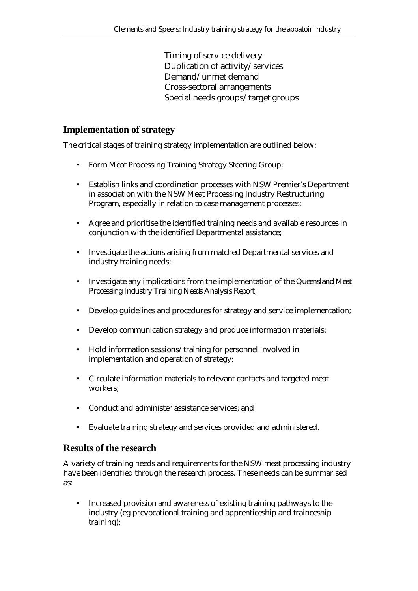Timing of service delivery Duplication of activity/services Demand/unmet demand Cross-sectoral arrangements Special needs groups/target groups

#### **Implementation of strategy**

The critical stages of training strategy implementation are outlined below:

- Form Meat Processing Training Strategy Steering Group;
- Establish links and coordination processes with NSW Premier's Department in association with the NSW Meat Processing Industry Restructuring Program, especially in relation to case management processes;
- Agree and prioritise the identified training needs and available resources in conjunction with the identified Departmental assistance;
- Investigate the actions arising from matched Departmental services and industry training needs;
- Investigate any implications from the implementation of the *Queensland Meat Processing Industry Training Needs Analysis Report*;
- Develop guidelines and procedures for strategy and service implementation;
- Develop communication strategy and produce information materials;
- Hold information sessions/training for personnel involved in implementation and operation of strategy;
- Circulate information materials to relevant contacts and targeted meat workers;
- Conduct and administer assistance services; and
- Evaluate training strategy and services provided and administered.

#### **Results of the research**

A variety of training needs and requirements for the NSW meat processing industry have been identified through the research process. These needs can be summarised as:

• Increased provision and awareness of existing training pathways to the industry (eg prevocational training and apprenticeship and traineeship training);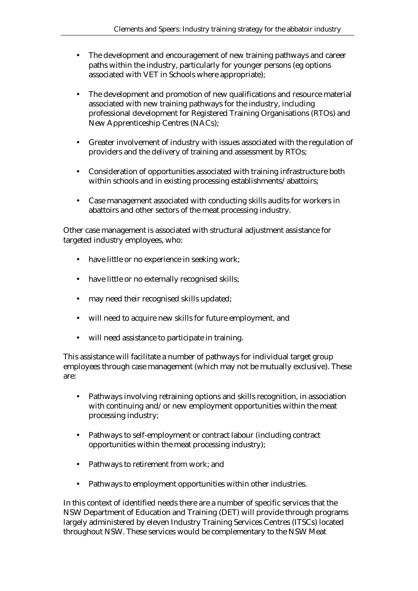- The development and encouragement of new training pathways and career paths within the industry, particularly for younger persons (eg options associated with VET in Schools where appropriate);
- The development and promotion of new qualifications and resource material associated with new training pathways for the industry, including professional development for Registered Training Organisations (RTOs) and New Apprenticeship Centres (NACs);
- Greater involvement of industry with issues associated with the regulation of providers and the delivery of training and assessment by RTOs;
- Consideration of opportunities associated with training infrastructure both within schools and in existing processing establishments/abattoirs;
- Case management associated with conducting skills audits for workers in abattoirs and other sectors of the meat processing industry.

Other case management is associated with structural adjustment assistance for targeted industry employees, who:

- have little or no experience in seeking work;
- have little or no externally recognised skills;
- may need their recognised skills updated;
- will need to acquire new skills for future employment, and
- will need assistance to participate in training.

This assistance will facilitate a number of pathways for individual target group employees through case management (which may not be mutually exclusive). These are:

- Pathways involving retraining options and skills recognition, in association with continuing and/or new employment opportunities within the meat processing industry;
- Pathways to self-employment or contract labour (including contract opportunities within the meat processing industry);
- Pathways to retirement from work; and
- Pathways to employment opportunities within other industries.

In this context of identified needs there are a number of specific services that the NSW Department of Education and Training (DET) will provide through programs largely administered by eleven Industry Training Services Centres (ITSCs) located throughout NSW. These services would be complementary to the NSW Meat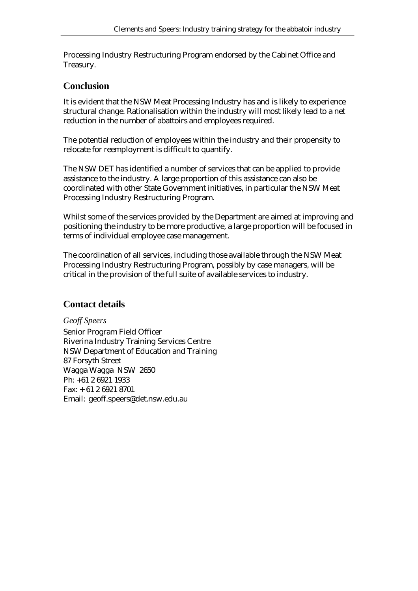Processing Industry Restructuring Program endorsed by the Cabinet Office and Treasury.

## **Conclusion**

It is evident that the NSW Meat Processing Industry has and is likely to experience structural change. Rationalisation within the industry will most likely lead to a net reduction in the number of abattoirs and employees required.

The potential reduction of employees within the industry and their propensity to relocate for reemployment is difficult to quantify.

The NSW DET has identified a number of services that can be applied to provide assistance to the industry. A large proportion of this assistance can also be coordinated with other State Government initiatives, in particular the NSW Meat Processing Industry Restructuring Program.

Whilst some of the services provided by the Department are aimed at improving and positioning the industry to be more productive, a large proportion will be focused in terms of individual employee case management.

The coordination of all services, including those available through the NSW Meat Processing Industry Restructuring Program, possibly by case managers, will be critical in the provision of the full suite of available services to industry.

## **Contact details**

*Geoff Speers*  Senior Program Field Officer Riverina Industry Training Services Centre NSW Department of Education and Training 87 Forsyth Street Wagga Wagga NSW 2650 Ph: +61 2 6921 1933 Fax: + 61 2 6921 8701 Email: geoff.speers@det.nsw.edu.au